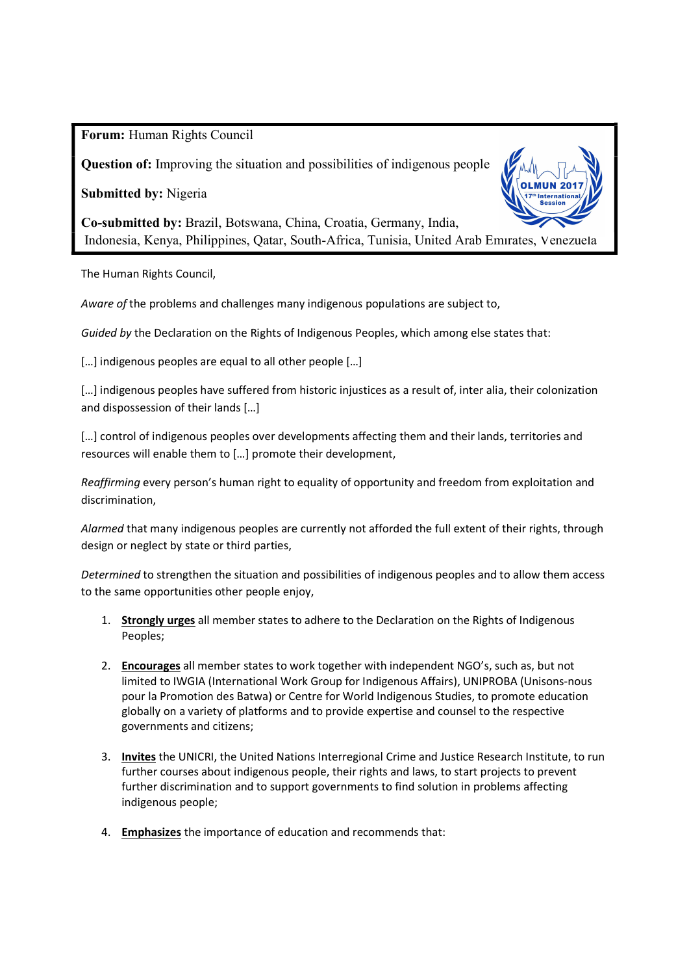Forum: Human Rights Council

Question of: Improving the situation and possibilities of indigenous people

Submitted by: Nigeria



Co-submitted by: Brazil, Botswana, China, Croatia, Germany, India, Indonesia, Kenya, Philippines, Qatar, South-Africa, Tunisia, United Arab Emirates, Venezuela

The Human Rights Council,

Aware of the problems and challenges many indigenous populations are subject to,

Guided by the Declaration on the Rights of Indigenous Peoples, which among else states that:

[...] indigenous peoples are equal to all other people [...]

[...] indigenous peoples have suffered from historic injustices as a result of, inter alia, their colonization and dispossession of their lands […]

[...] control of indigenous peoples over developments affecting them and their lands, territories and resources will enable them to […] promote their development,

Reaffirming every person's human right to equality of opportunity and freedom from exploitation and discrimination,

Alarmed that many indigenous peoples are currently not afforded the full extent of their rights, through design or neglect by state or third parties,

Determined to strengthen the situation and possibilities of indigenous peoples and to allow them access to the same opportunities other people enjoy,

- 1. Strongly urges all member states to adhere to the Declaration on the Rights of Indigenous Peoples;
- 2. Encourages all member states to work together with independent NGO's, such as, but not limited to IWGIA (International Work Group for Indigenous Affairs), UNIPROBA (Unisons-nous pour la Promotion des Batwa) or Centre for World Indigenous Studies, to promote education globally on a variety of platforms and to provide expertise and counsel to the respective governments and citizens;
- 3. Invites the UNICRI, the United Nations Interregional Crime and Justice Research Institute, to run further courses about indigenous people, their rights and laws, to start projects to prevent further discrimination and to support governments to find solution in problems affecting indigenous people;
- 4. Emphasizes the importance of education and recommends that: